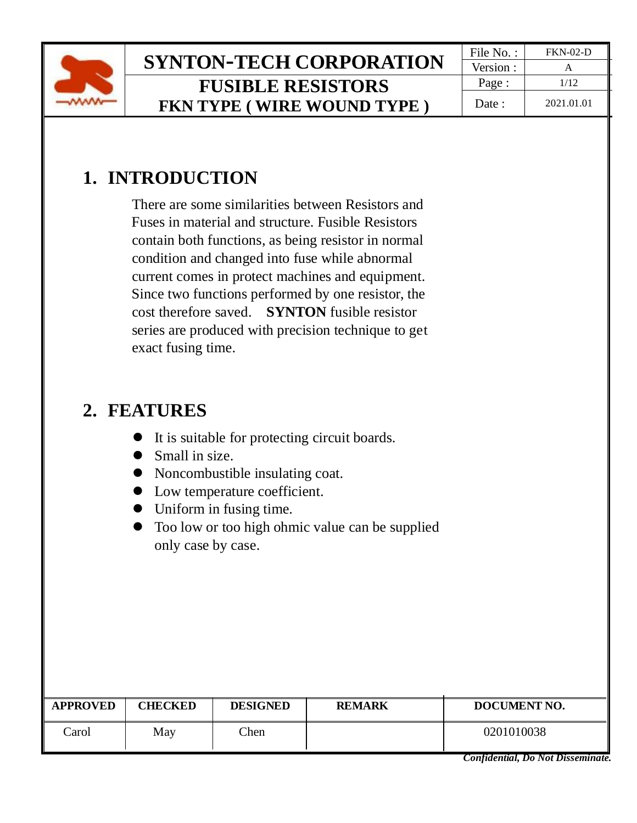

# **SYNTON-TECH CORPORATION**  $\frac{|\text{File No.}:|}{\text{Version}:} \cdot \frac{FKN-02-D}{A}}$ **FUSIBLE RESISTORS FKN TYPE ( WIRE WOUND TYPE )**

Version : Page :  $\vert$  1/12 Date : 2021.01.01

# **1. INTRODUCTION**

There are some similarities between Resistors and Fuses in material and structure. Fusible Resistors contain both functions, as being resistor in normal condition and changed into fuse while abnormal current comes in protect machines and equipment. Since two functions performed by one resistor, the cost therefore saved. **SYNTON** fusible resistor series are produced with precision technique to get exact fusing time.

## **2. FEATURES**

- ⚫ It is suitable for protecting circuit boards.
- Small in size.
- ⚫ Noncombustible insulating coat.
- ⚫ Low temperature coefficient.
- ⚫ Uniform in fusing time.
- ⚫ Too low or too high ohmic value can be supplied only case by case.

| <b>APPROVED</b> | <b>CHECKED</b> | <b>DESIGNED</b> | <b>REMARK</b> | DOCUMENT NO. |
|-----------------|----------------|-----------------|---------------|--------------|
| arol            | May            | Chen            |               | 0201010038   |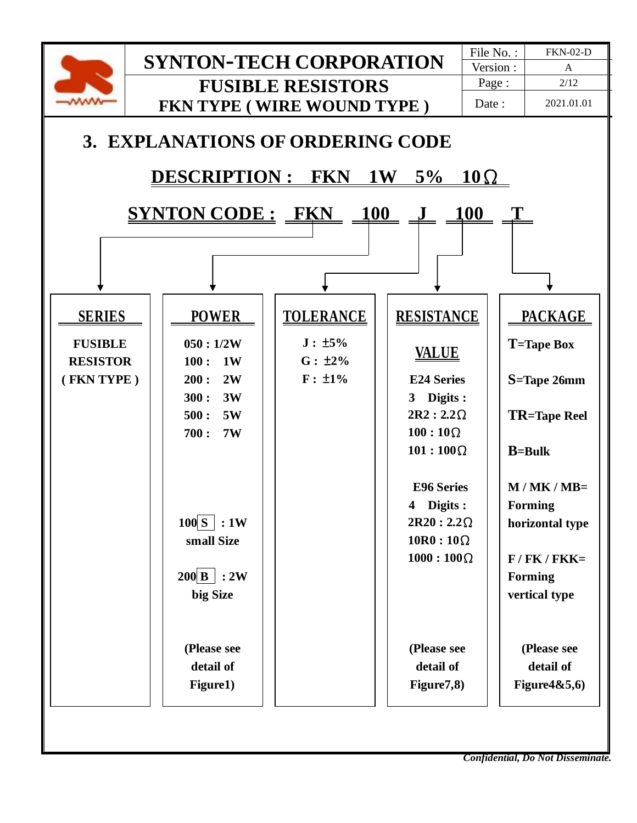

*Confidential, Do Not Disseminate.*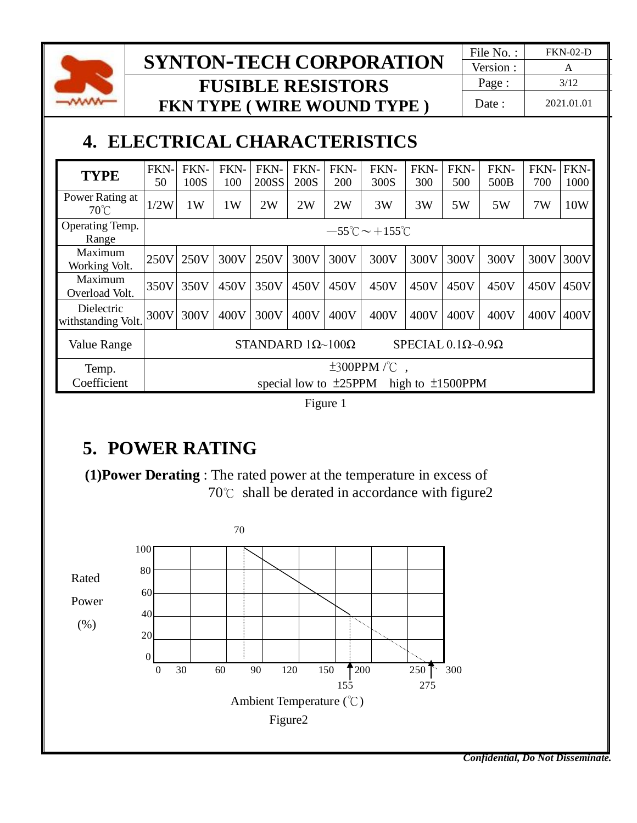

## **SYNTON-TECH CORPORATION**  $\frac{|\text{File No.}:|}{\text{Version}:}|}$ **FUSIBLE RESISTORS FKN TYPE ( WIRE WOUND TYPE )**

Version : Page : | 3/12 Date : 2021.01.01

# **4. ELECTRICAL CHARACTERISTICS**

| <b>TYPE</b>                       | FKN-<br>50 | FKN-<br>100S                                                                        | FKN-<br>100 | FKN-<br>200SS | FKN-<br>200S | FKN-<br><b>200</b> | FKN-<br>300S | FKN-<br>300 | FKN-<br>500 | FKN-<br>500B | FKN-<br>700 | FKN-<br>1000 |
|-----------------------------------|------------|-------------------------------------------------------------------------------------|-------------|---------------|--------------|--------------------|--------------|-------------|-------------|--------------|-------------|--------------|
| Power Rating at<br>$70^{\circ}$ C | 1/2W       | 1W                                                                                  | 1W          | 2W            | 2W           | 2W                 | 3W           | 3W          | 5W          | 5W           | 7W          | 10W          |
| Operating Temp.<br>Range          |            | $-55^{\circ}$ C ~ +155 $^{\circ}$ C                                                 |             |               |              |                    |              |             |             |              |             |              |
| Maximum<br>Working Volt.          | 250V       | 250V                                                                                | 300V        | 250V          | 300V         | 300V               | 300V         | 300V        | 300V        | 300V         | 300V        | 300V         |
| Maximum<br>Overload Volt.         | 350V       | 350V                                                                                | 450V        | 350V          | 450V         | 450V               | 450V         | 450V        | 450V        | 450V         | 450V        | 450V         |
| Dielectric<br>withstanding Volt.  | 300V       | 300V                                                                                | 400V        | 300V          | 400V         | 400V               | 400V         | 400V        | 400V        | 400V         | 400V        | 400V         |
| Value Range                       |            | SPECIAL $0.1\Omega$ ~ $0.9\Omega$<br>STANDARD $1\Omega$ ~ $100\Omega$               |             |               |              |                    |              |             |             |              |             |              |
| Temp.<br>Coefficient              |            | $\pm 300$ PPM $\sqrt{\ }C$<br>special low to $\pm 25$ PPM<br>high to $\pm 1500$ PPM |             |               |              |                    |              |             |             |              |             |              |

Figure 1

# **5. POWER RATING**

 **(1)Power Derating** : The rated power at the temperature in excess of 70℃ shall be derated in accordance with figure2

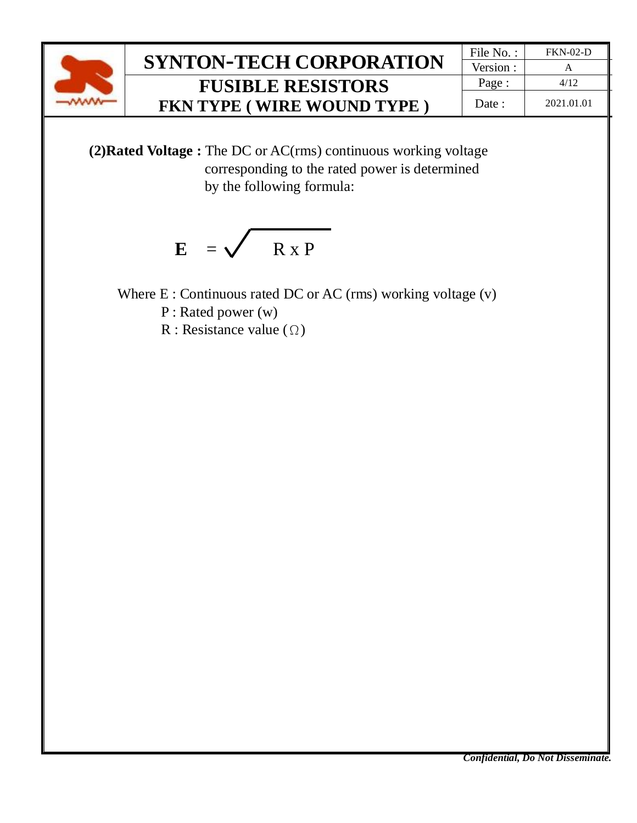

### $SYNTON-TECH CORPORTION$ **FUSIBLE RESISTORS FKN TYPE ( WIRE WOUND TYPE )**

| File No.: | <b>FKN-02-D</b> |
|-----------|-----------------|
| Version : |                 |
| Page:     | 4/12            |
| Date:     | 2021.01.01      |

 **(2)Rated Voltage :** The DC or AC(rms) continuous working voltage corresponding to the rated power is determined by the following formula:

$$
E = \sqrt{R \times P}
$$

Where E : Continuous rated DC or AC (rms) working voltage (v)

P : Rated power (w)

R : Resistance value  $(\Omega)$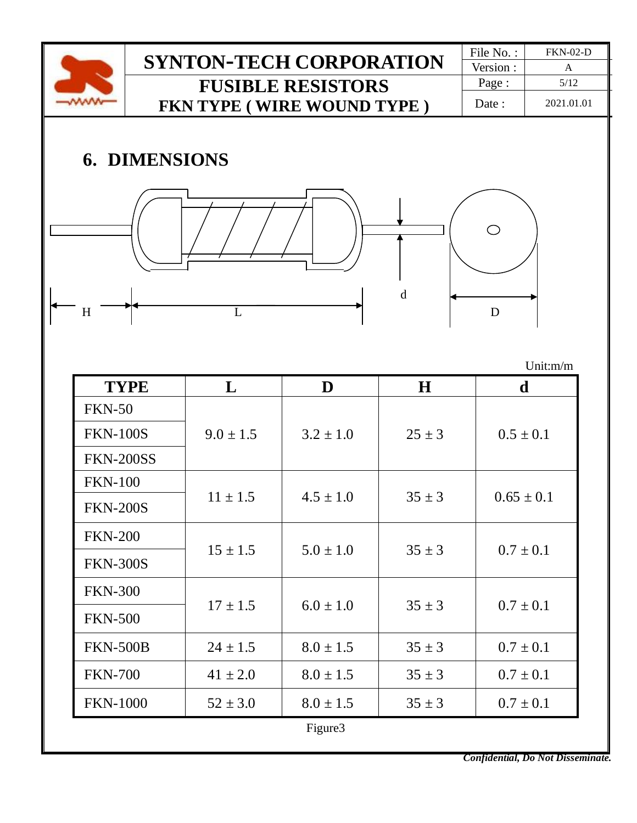

Figure3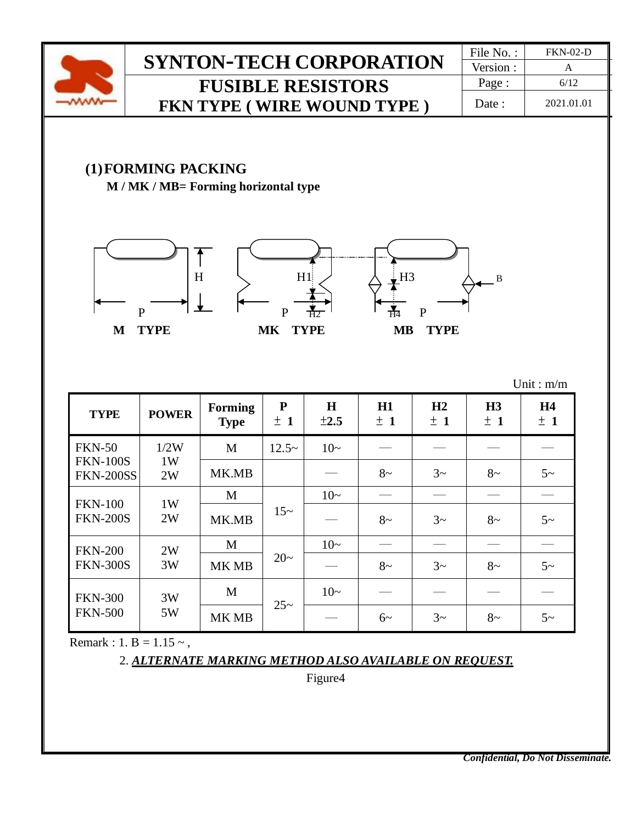

### **(1)FORMING PACKING**

**M / MK / MB= Forming horizontal type**







| <b>TYPE</b>                         | <b>POWER</b> | <b>Forming</b><br><b>Type</b> | ${\bf P}$<br>± 1                                     | $\bf H$<br>$\pm 2.5$ | H1<br>±1 | H2<br>±1 | H <sub>3</sub><br>± 1 | H <sub>4</sub><br>± 1 |
|-------------------------------------|--------------|-------------------------------|------------------------------------------------------|----------------------|----------|----------|-----------------------|-----------------------|
| <b>FKN-50</b>                       | 1/2W         | M                             | $12.5-$                                              | $10-$                |          |          |                       |                       |
| <b>FKN-100S</b><br><b>FKN-200SS</b> | 1W<br>2W     | MK.MB                         | $3\sim$<br>$8-$<br>$10-$<br>$15-$<br>$8-$<br>$3\sim$ | $8-$                 | $5\sim$  |          |                       |                       |
|                                     | 1W           | M                             |                                                      |                      |          |          |                       |                       |
| <b>FKN-100</b><br><b>FKN-200S</b>   | 2W           | MK.MB                         |                                                      |                      |          |          | $8-$                  | $5-$                  |
| <b>FKN-200</b>                      | 2W           | M                             |                                                      | $10-$                |          |          |                       |                       |
| <b>FKN-300S</b>                     | 3W           | MK MB                         | $20-$                                                |                      | $8-$     | $3\sim$  | $8-$                  | $5\sim$               |
| <b>FKN-300</b>                      | 3W           | M                             | $25 -$                                               | $10-$                |          |          |                       |                       |
| <b>FKN-500</b>                      | 5W           | MK MB                         |                                                      |                      | $6\sim$  | $3\sim$  | $8-$                  | $5-$                  |

Unit : m/m

Remark : 1. B =  $1.15 \sim$ ,

2. *ALTERNATE MARKING METHOD ALSO AVAILABLE ON REQUEST.*

Figure4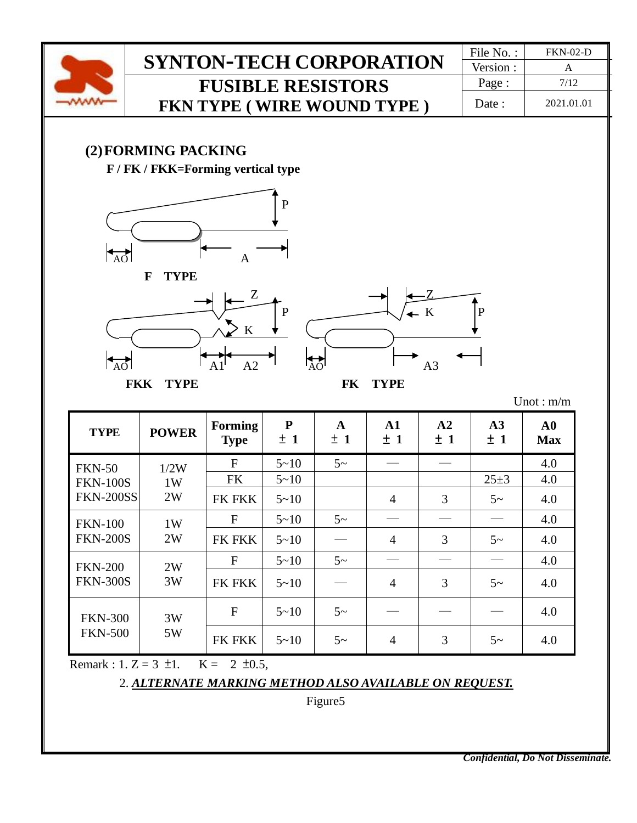

Version : Page : 7/12 Date : 2021.01.01

#### **(2)FORMING PACKING**

**F / FK / FKK=Forming vertical type**







Unot : m/m

| <b>TYPE</b>                      | <b>POWER</b> | <b>Forming</b><br><b>Type</b> | ${\bf P}$<br>± 1 | A<br>± 1 | $\mathbf{A1}$<br>±1 | A2<br>±1 | A3<br>±1   | $\bf{A0}$<br><b>Max</b> |
|----------------------------------|--------------|-------------------------------|------------------|----------|---------------------|----------|------------|-------------------------|
| <b>FKN-50</b>                    | 1/2W         | F                             | $5 - 10$         | $5\sim$  |                     |          |            | 4.0                     |
| <b>FKN-100S</b>                  | 1W           | <b>FK</b>                     | $5 - 10$         |          |                     |          | $25 \pm 3$ | 4.0                     |
| <b>FKN-200SS</b>                 | 2W           | <b>FK FKK</b>                 | $5 - 10$         |          | $\overline{4}$      | 3        | $5-$       | 4.0                     |
| <b>FKN-100</b>                   | 1W           | F                             | $5 - 10$         | $5\sim$  |                     |          |            | 4.0                     |
| <b>FKN-200S</b>                  | 2W           | <b>FK FKK</b>                 | $5 - 10$         |          | $\overline{4}$      | 3        | $5\sim$    | 4.0                     |
| <b>FKN-200</b>                   | 2W           | $\mathbf{F}$                  | $5 - 10$         | $5\sim$  |                     |          |            | 4.0                     |
| <b>FKN-300S</b><br>3W            |              | <b>FK FKK</b>                 | $5 - 10$         |          | $\overline{4}$      | 3        | $5\sim$    | 4.0                     |
| <b>FKN-300</b><br><b>FKN-500</b> | 3W           | F                             | $5 - 10$         | $5-$     |                     |          |            | 4.0                     |
|                                  | 5W           | <b>FK FKK</b>                 | $5 - 10$         | $5-$     | 4                   | 3        | $5\sim$    | 4.0                     |

Remark : 1. Z = 3  $\pm$ 1. K = 2  $\pm$ 0.5,

#### 2. *ALTERNATE MARKING METHOD ALSO AVAILABLE ON REQUEST.*

Figure5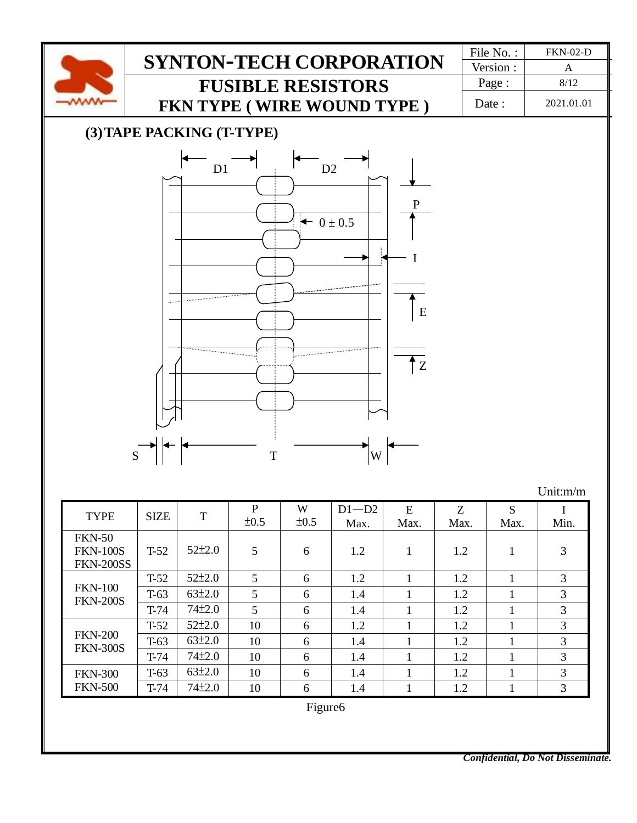

*Confidential, Do Not Disseminate.*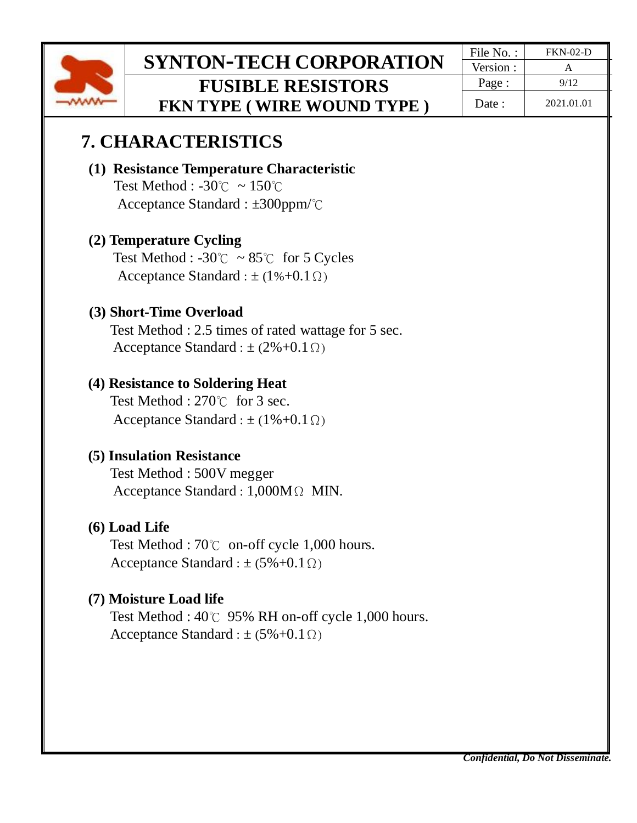

Version : Page :  $\vert$  9/12 Date : 2021.01.01

### **7. CHARACTERISTICS**

#### **(1) Resistance Temperature Characteristic**  Test Method : -30℃ ~ 150℃

Acceptance Standard : ±300ppm/℃

### **(2) Temperature Cycling**

Test Method :  $-30^{\circ}$   $\sim 85^{\circ}$  for 5 Cycles Acceptance Standard :  $\pm (1\% + 0.1\Omega)$ 

### **(3) Short-Time Overload**

Test Method : 2.5 times of rated wattage for 5 sec. Acceptance Standard :  $\pm$  (2%+0.1 $\Omega$ )

### **(4) Resistance to Soldering Heat**

Test Method : 270℃ for 3 sec. Acceptance Standard :  $\pm (1\% + 0.1 \Omega)$ 

### **(5) Insulation Resistance**

Test Method : 500V megger Acceptance Standard : 1,000MΩ MIN.

#### **(6) Load Life**

Test Method : 70℃ on-off cycle 1,000 hours. Acceptance Standard :  $\pm$  (5%+0.1 $\Omega$ )

### **(7) Moisture Load life**

Test Method : 40℃ 95% RH on-off cycle 1,000 hours. Acceptance Standard :  $\pm$  (5%+0.1 $\Omega$ )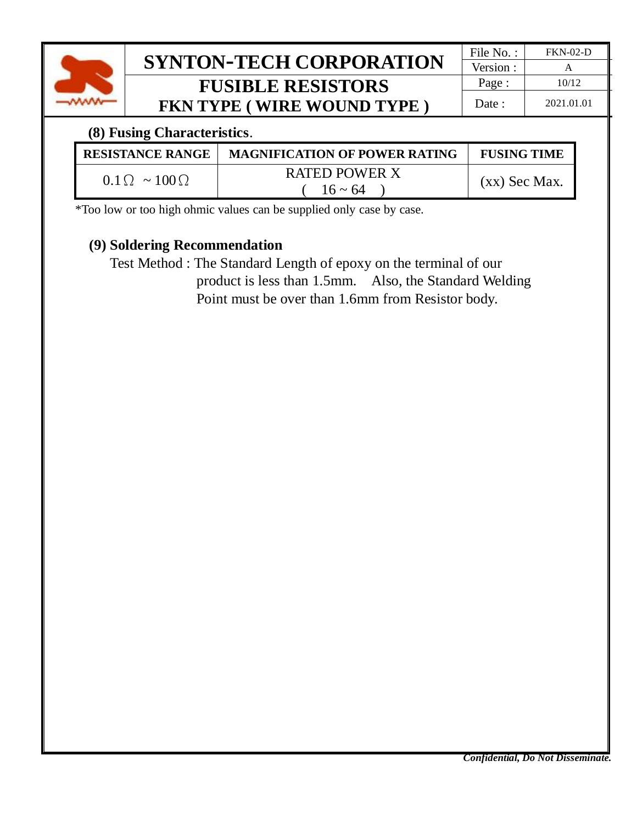

### **(8) Fusing Characteristics**.

| <b>RESISTANCE RANGE</b>    | <b>MAGNIFICATION OF POWER RATING</b> | <b>FUSING TIME</b> |
|----------------------------|--------------------------------------|--------------------|
| $0.1\Omega \sim 100\Omega$ | <b>RATED POWER X</b><br>$16 \sim 64$ | $(xx)$ Sec Max.    |

\*Too low or too high ohmic values can be supplied only case by case.

### **(9) Soldering Recommendation**

Test Method : The Standard Length of epoxy on the terminal of our product is less than 1.5mm. Also, the Standard Welding Point must be over than 1.6mm from Resistor body.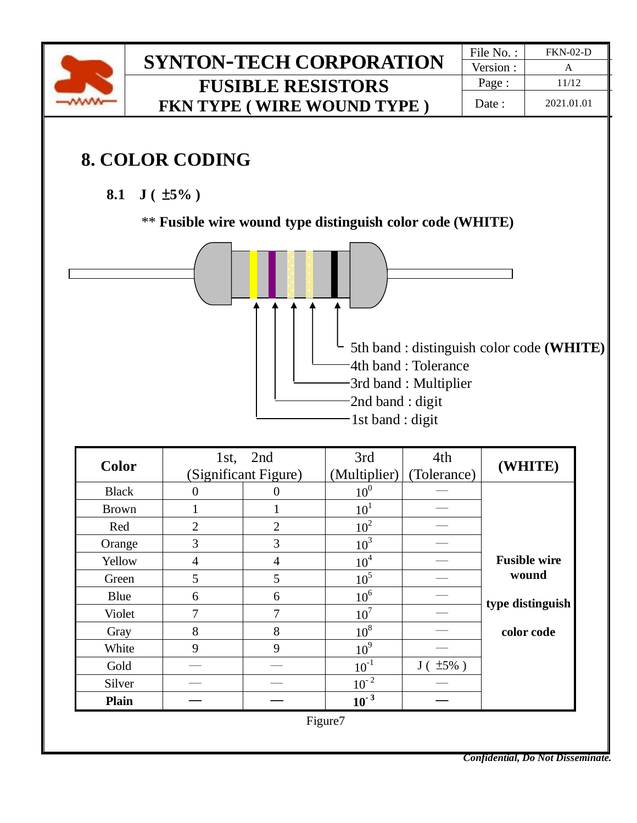

# **8. COLOR CODING**

**8.1 J (** ±**5% )**

\*\* **Fusible wire wound type distinguish color code (WHITE)** 



| <b>Color</b> |                | 1st, 2nd             | 3rd             | 4th              | (WHITE)             |
|--------------|----------------|----------------------|-----------------|------------------|---------------------|
|              |                | (Significant Figure) | (Multiplier)    | (Tolerance)      |                     |
| <b>Black</b> | 0              | O                    | 10 <sup>0</sup> |                  |                     |
| <b>Brown</b> |                |                      | 10 <sup>1</sup> |                  |                     |
| Red          | $\overline{2}$ | $\overline{2}$       | 10 <sup>2</sup> |                  |                     |
| Orange       | 3              | 3                    | 10 <sup>3</sup> |                  |                     |
| Yellow       | 4              | $\overline{4}$       | 10 <sup>4</sup> |                  | <b>Fusible wire</b> |
| Green        | 5              | 5                    | 10 <sup>5</sup> |                  | wound               |
| Blue         | 6              | 6                    | 10 <sup>6</sup> |                  | type distinguish    |
| Violet       | 7              | 7                    | 10 <sup>7</sup> |                  |                     |
| Gray         | 8              | 8                    | $10^8$          |                  | color code          |
| White        | 9              | 9                    | 10 <sup>9</sup> |                  |                     |
| Gold         |                |                      | $10^{-1}$       | $J($ $\pm 5\%$ ) |                     |
| Silver       |                |                      | $10^{-2}$       |                  |                     |
| <b>Plain</b> |                |                      | $10^{-3}$       |                  |                     |
|              |                |                      | Figure7         |                  |                     |